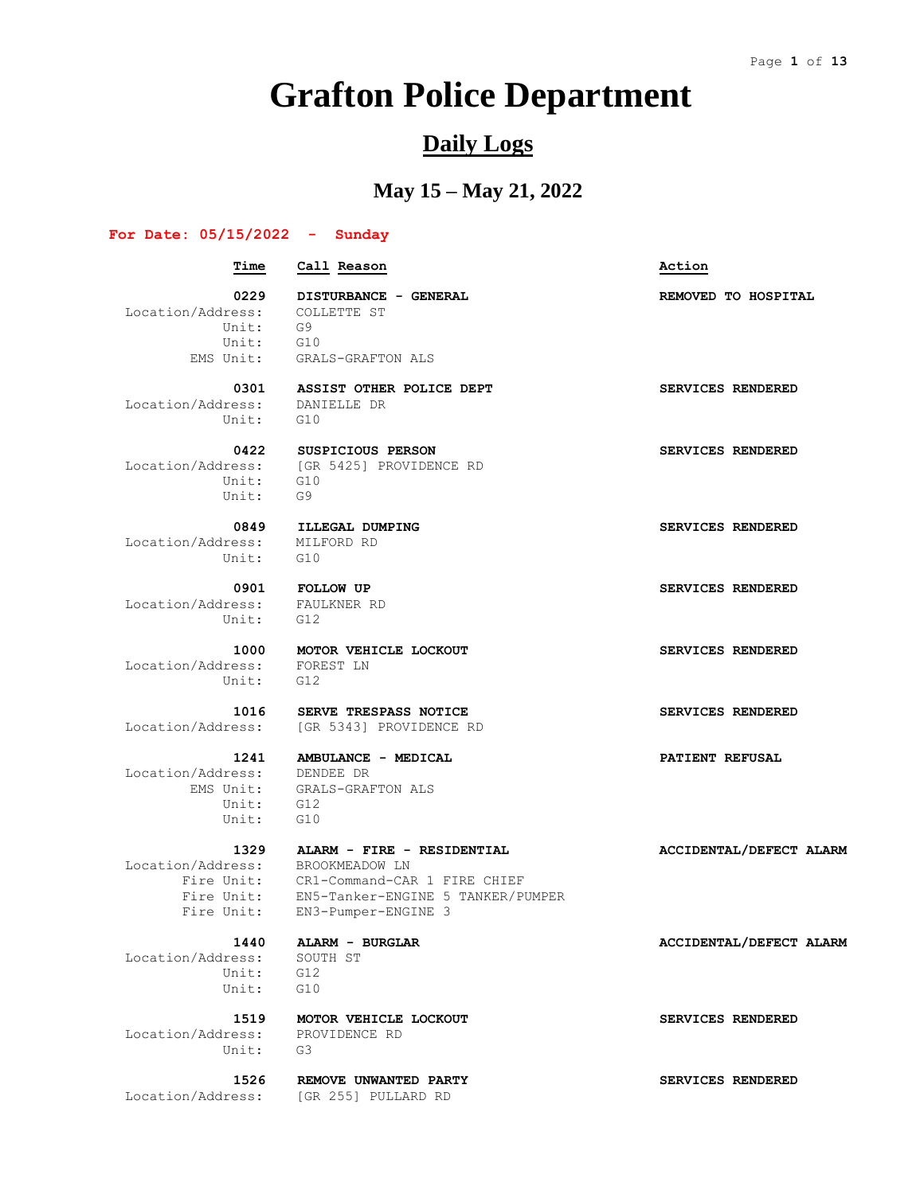## **Grafton Police Department**

## **Daily Logs**

## **May 15 – May 21, 2022**

#### **For Date: 05/15/2022 - Sunday**

 **Time Call Reason Action** 0229 **DISTURBANCE - GENERAL REMOVED** TO HOSPITAL Location/Address: COLLETTE ST Unit: G9 Unit: G10 EMS Unit: GRALS-GRAFTON ALS  **0301 ASSIST OTHER POLICE DEPT SERVICES RENDERED** Location/Address: DANIELLE DR Unit: G10  **0422 SUSPICIOUS PERSON SERVICES RENDERED** Location/Address: [GR 5425] PROVIDENCE RD Unit: G10 Unit: G9  **0849 ILLEGAL DUMPING SERVICES RENDERED** Location/Address: MILFORD RD Unit: G10  **0901 FOLLOW UP SERVICES RENDERED** Location/Address: FAULKNER RD Unit: G12  **1000 MOTOR VEHICLE LOCKOUT SERVICES RENDERED** Location/Address: FOREST LN Unit: G12  **1016 SERVE TRESPASS NOTICE SERVICES RENDERED** Location/Address: [GR 5343] PROVIDENCE RD  **1241 AMBULANCE - MEDICAL PATIENT REFUSAL** Location/Address: DENDEE DR<br>EMS Unit: GRALS-GRAB GRALS-GRAFTON ALS Unit: G12  $\text{Unit} \cdot \quad \text{G10}$  **1329 ALARM - FIRE - RESIDENTIAL ACCIDENTAL/DEFECT ALARM** Location/Address: BROOKMEADOW LN Fire Unit: CR1-Command-CAR 1 FIRE CHIEF Fire Unit: EN5-Tanker-ENGINE 5 TANKER/PUMPER Fire Unit: EN3-Pumper-ENGINE 3 1440 **ALARM - BURGLAR <b>ACCIDENTAL/DEFECT ALARM**  Location/Address: SOUTH ST Unit: G12 Unit: G10  **1519 MOTOR VEHICLE LOCKOUT SERVICES RENDERED** Location/Address: PROVIDENCE RD

Location/Address: [GR 255] PULLARD RD

Unit: G3

 **1526 REMOVE UNWANTED PARTY SERVICES RENDERED**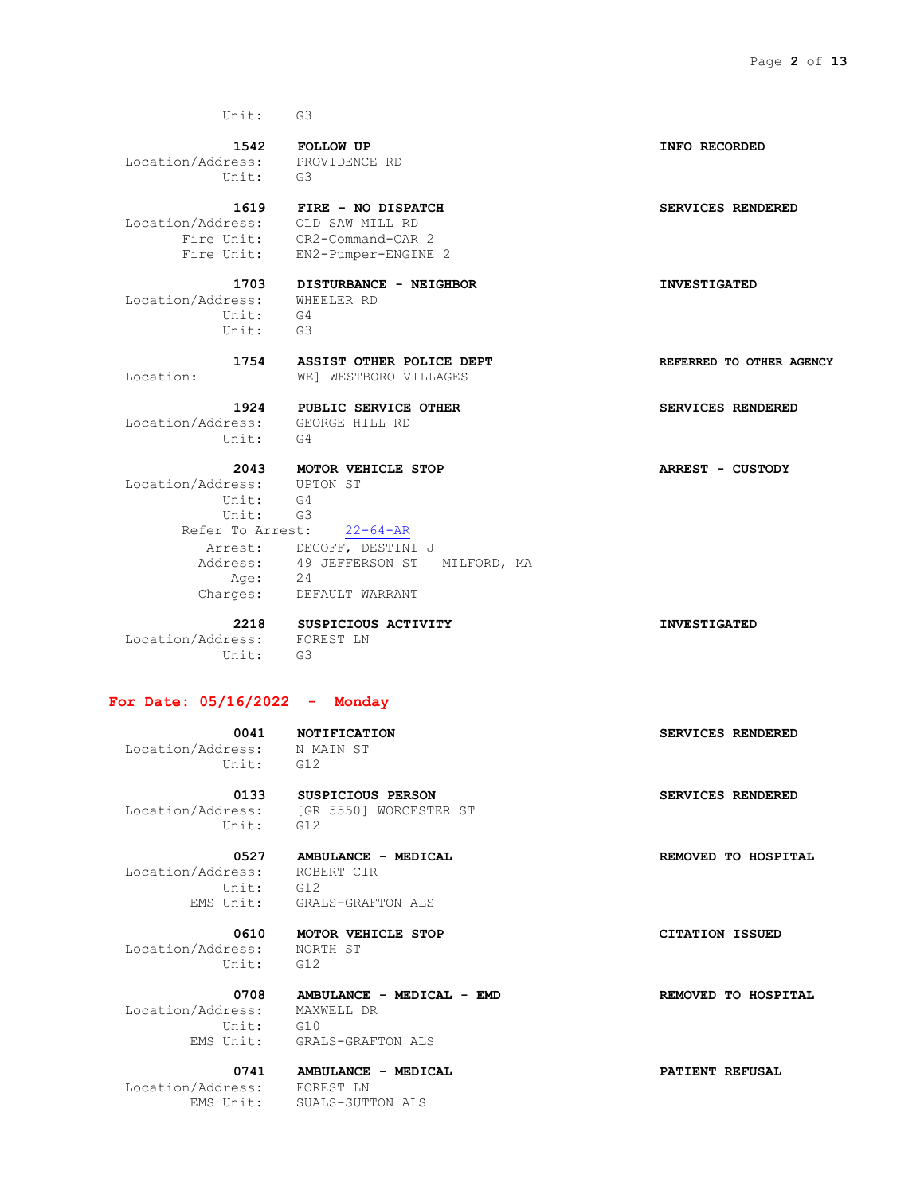Unit: G4 Unit: G3

 **1542 FOLLOW UP INFO RECORDED** Location/Address: PROVIDENCE RD Unit: G3

 **1619 FIRE - NO DISPATCH SERVICES RENDERED** Location/Address: OLD SAW MILL RD Fire Unit: CR2-Command-CAR 2 Fire Unit: EN2-Pumper-ENGINE 2

 **1703 DISTURBANCE - NEIGHBOR INVESTIGATED** Location/Address: WHEELER RD

 **1754 ASSIST OTHER POLICE DEPT REFERRED TO OTHER AGENCY** Location: WE] WESTBORO VILLAGES

Location/Address: GEORGE HILL RD<br>Unit: G4 Unit:

 **2043 MOTOR VEHICLE STOP ARREST - CUSTODY** Location/Address: UPTON ST Unit: G4 Unit: G3 Refer To Arrest: 22-64-AR Arrest: DECOFF, DESTINI J Address: 49 JEFFERSON ST MILFORD, MA

 Age: 24 Charges: DEFAULT WARRANT

 **2218 SUSPICIOUS ACTIVITY INVESTIGATED** Location/Address: FOREST LN Unit: G3

#### **For Date: 05/16/2022 - Monday**

Location/Address: N MAIN ST

 **0133 SUSPICIOUS PERSON SERVICES RENDERED** Location/Address: [GR 5550] WORCESTER ST Unit: G12

 Location/Address: ROBERT CIR Unit: G12

 Location/Address: NORTH ST Unit: G12

 **0527 AMBULANCE - MEDICAL REMOVED TO HOSPITAL**

EMS Unit: GRALS-GRAFTON ALS

 **0610 MOTOR VEHICLE STOP CITATION ISSUED**

 **0708 AMBULANCE - MEDICAL - EMD REMOVED TO HOSPITAL** Location/Address: MAXWELL DR Unit: G10

EMS Unit: GRALS-GRAFTON ALS

 **0741 AMBULANCE - MEDICAL PATIENT REFUSAL**

 Location/Address: FOREST LN EMS Unit: SUALS-SUTTON ALS

 **1924 PUBLIC SERVICE OTHER SERVICES RENDERED**

 **0041 NOTIFICATION SERVICES RENDERED**

Unit: G12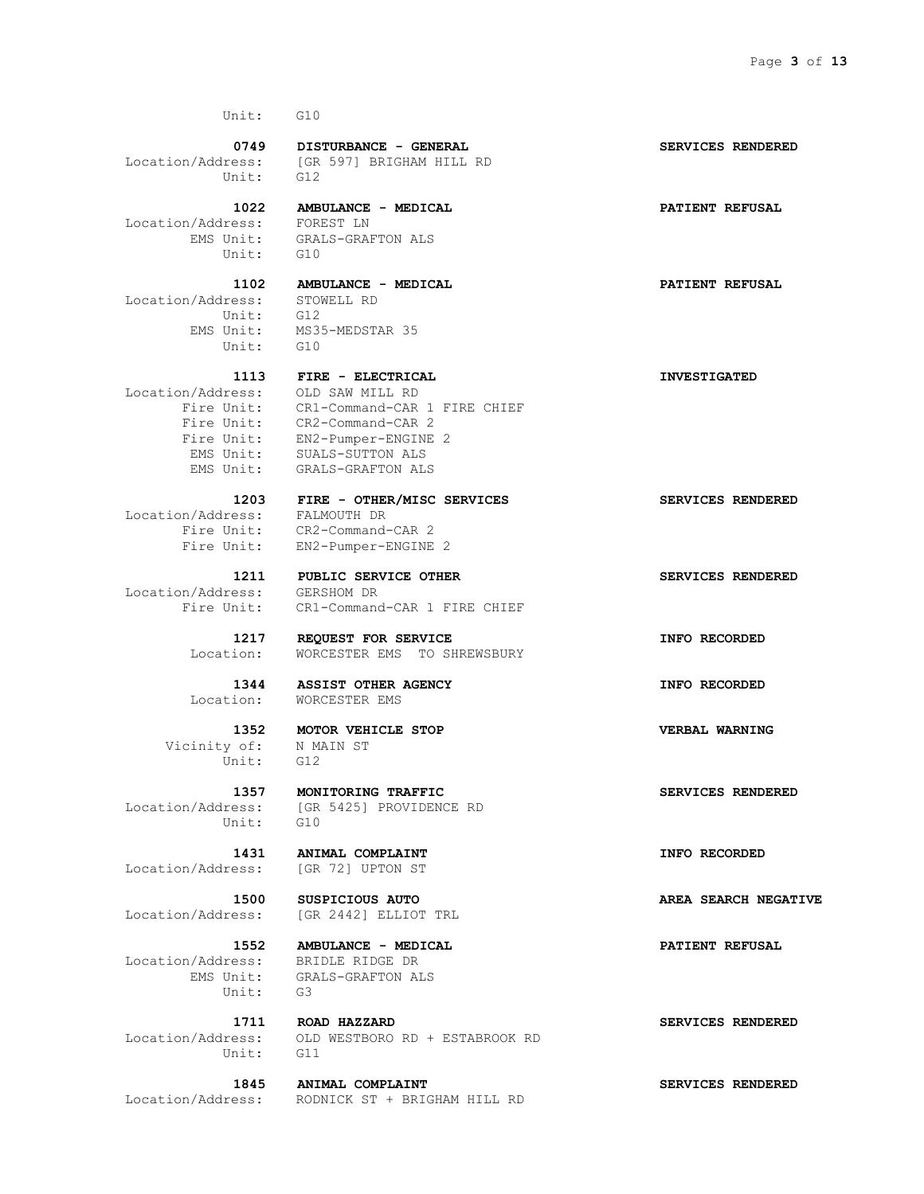Location/Address: [GR 597] BRIGHAM HILL RD Unit: G12

 **1022 AMBULANCE - MEDICAL PATIENT REFUSAL** Location/Address: FOREST LN EMS Unit: GRALS-GRAFTON ALS Unit: G10

 Location/Address: STOWELL RD Unit: G10

 Location/Address: OLD SAW MILL RD Fire Unit: CR2-Command-CAR 2 EMS Unit: SUALS-SUTTON ALS

Location/Address: FALMOUTH DR

Location/Address: GERSHOM DR

 Vicinity of: N MAIN ST Unit: G12

Unit: G10

Location/Address: [GR 72] UPTON ST

 Location/Address: BRIDLE RIDGE DR Unit: G3

Unit: G11

 **1102 AMBULANCE - MEDICAL PATIENT REFUSAL** Unit: G12 EMS Unit: MS35-MEDSTAR 35

 **1113 FIRE - ELECTRICAL INVESTIGATED** Fire Unit: CR1-Command-CAR 1 FIRE CHIEF

 Fire Unit: EN2-Pumper-ENGINE 2 EMS Unit: GRALS-GRAFTON ALS

> **1203 FIRE - OTHER/MISC SERVICES SERVICES RENDERED** Fire Unit: CR2-Command-CAR 2 Fire Unit: EN2-Pumper-ENGINE 2

> **1211 PUBLIC SERVICE OTHER SERVICES RENDERED** Fire Unit: CR1-Command-CAR 1 FIRE CHIEF

 **1217 REQUEST FOR SERVICE INFO RECORDED** Location: WORCESTER EMS TO SHREWSBURY

 **1344 ASSIST OTHER AGENCY INFO RECORDED** Location: WORCESTER EMS

 **1352 MOTOR VEHICLE STOP VERBAL WARNING**

 **1357 MONITORING TRAFFIC SERVICES RENDERED** Location/Address: [GR 5425] PROVIDENCE RD

 **1431 ANIMAL COMPLAINT INFO RECORDED**

Location/Address: [GR 2442] ELLIOT TRL

 **1552 AMBULANCE - MEDICAL PATIENT REFUSAL** EMS Unit: GRALS-GRAFTON ALS

 **1711 ROAD HAZZARD SERVICES RENDERED** Location/Address: OLD WESTBORO RD + ESTABROOK RD

 **1845 ANIMAL COMPLAINT SERVICES RENDERED** Location/Address: RODNICK ST + BRIGHAM HILL RD

0749 **DISTURBANCE - GENERAL SERVICES RENDERED** 

 **1500 SUSPICIOUS AUTO AREA SEARCH NEGATIVE**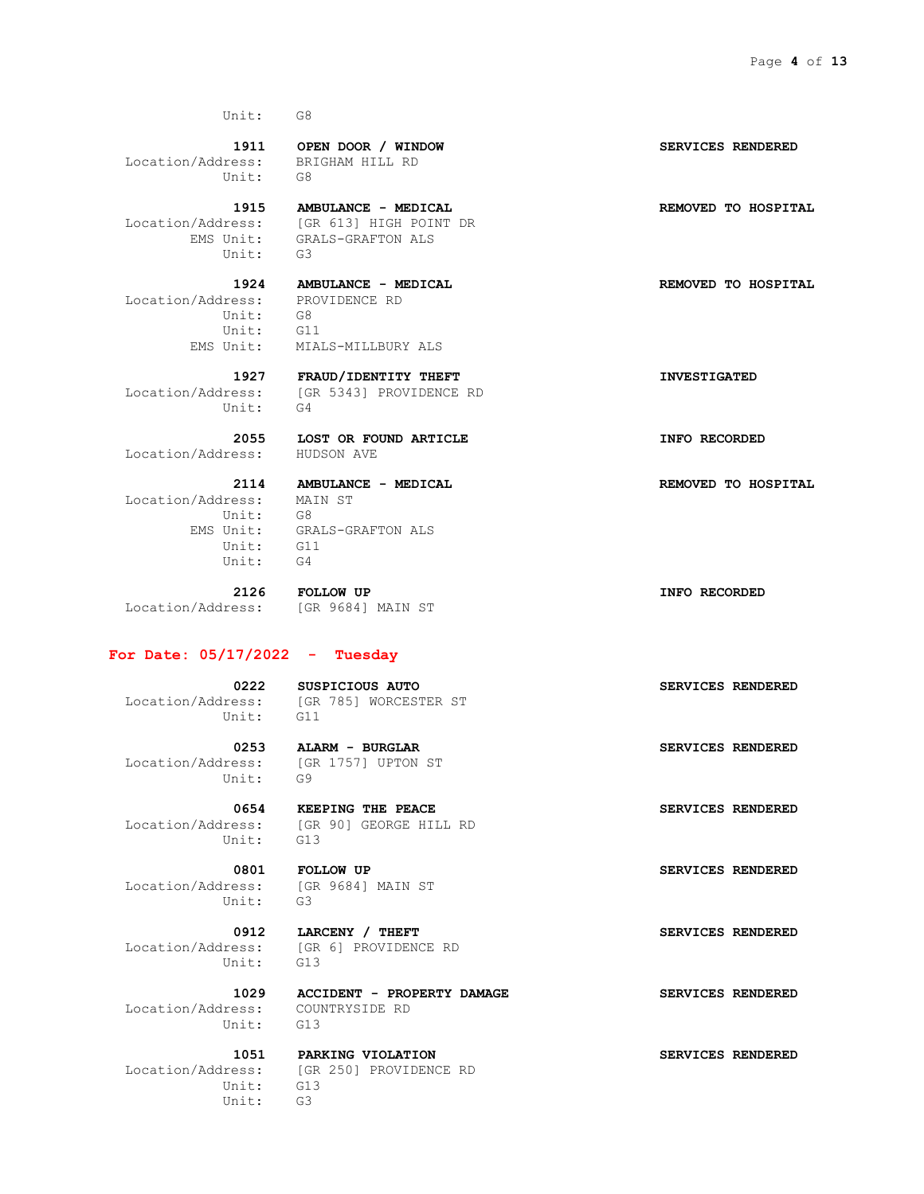Location/Address: BRIGHAM HILL RD Unit: G8

 Location/Address: [GR 613] HIGH POINT DR n/Auditions.<br>EMS Unit: GRA<br>Init: G3

 Location/Address: PROVIDENCE RD Unit: G8 Unit: G11

EMS Unit: MIALS-MILLBURY ALS

GRALS-GRAFTON ALS

 Location/Address: [GR 5343] PROVIDENCE RD Unit: G4

Location/Address: HUDSON AVE

 Location/Address: MAIN ST Unit: G8 EMS Unit: GRALS-GRAFTON ALS Unit: G11 Unit: G4

Location/Address: [GR 9684] MAIN ST

 **2126 FOLLOW UP INFO RECORDED**

#### **For Date: 05/17/2022 - Tuesday**

 Location/Address: [GR 785] WORCESTER ST Unit: G11

 Location/Address: [GR 1757] UPTON ST Unit: G9

Unit: G13

 Location/Address: [GR 9684] MAIN ST Unit: G3

Unit: G13

 Location/Address: COUNTRYSIDE RD Unit: G13

 Unit: G13 Unit: G3

# 0222 SUSPICIOUS AUTO **SERVICES** RENDERED

 **0253 ALARM - BURGLAR SERVICES RENDERED**

 **0654 KEEPING THE PEACE SERVICES RENDERED** Location/Address: [GR 90] GEORGE HILL RD

0912 **LARCENY** / THEFT **SERVICES** RENDERED Location/Address: [GR 6] PROVIDENCE RD

 **1029 ACCIDENT - PROPERTY DAMAGE SERVICES RENDERED**

 **1051 PARKING VIOLATION SERVICES RENDERED** Location/Address: [GR 250] PROVIDENCE RD

 **1911 OPEN DOOR / WINDOW SERVICES RENDERED**

1915 **AMBULANCE - MEDICAL REMOVED** TO HOSPITAL

 **1924 AMBULANCE - MEDICAL REMOVED TO HOSPITAL**

 **1927 FRAUD/IDENTITY THEFT INVESTIGATED**

 **2055 LOST OR FOUND ARTICLE INFO RECORDED**

 **2114 AMBULANCE - MEDICAL REMOVED TO HOSPITAL**

 **0801 FOLLOW UP SERVICES RENDERED**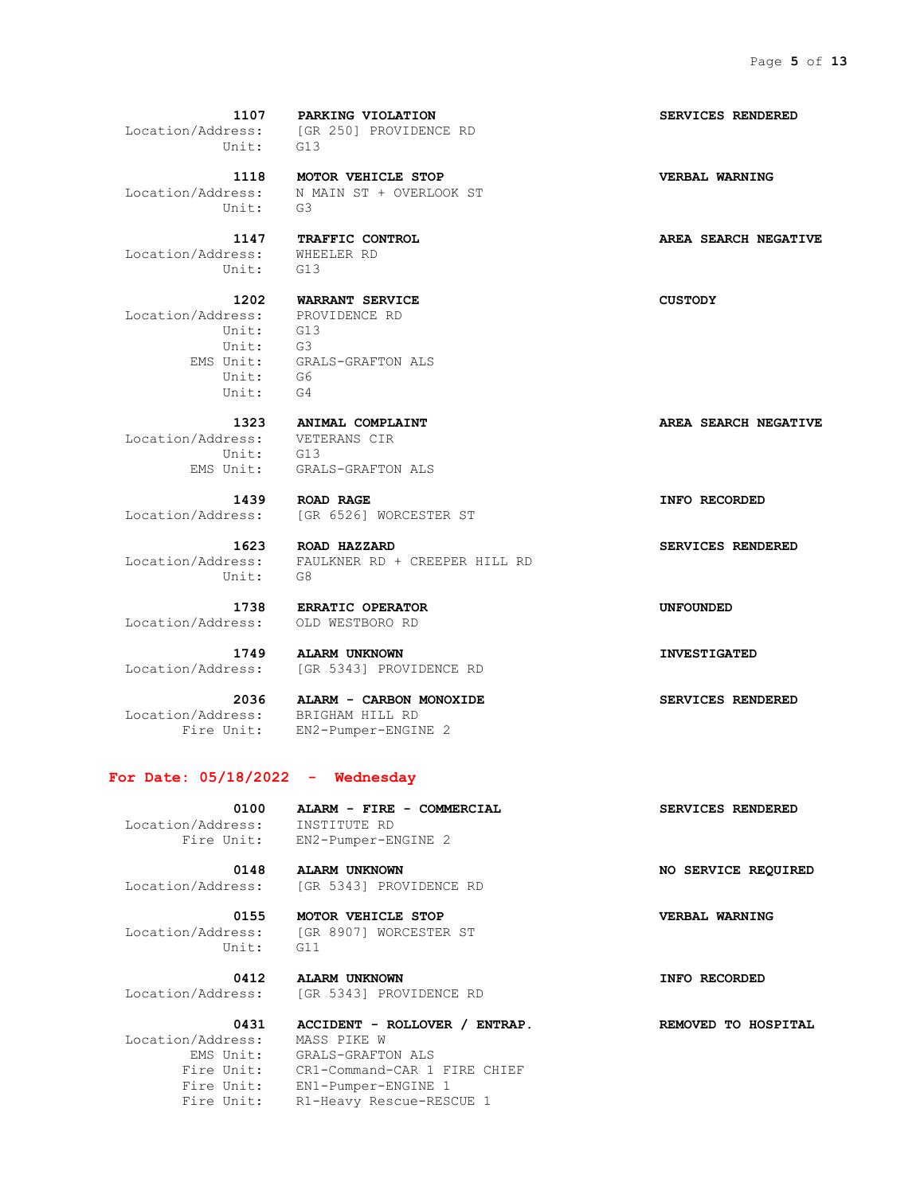Location/Address: [GR 250] PROVIDENCE RD Unit: G13  **1118 MOTOR VEHICLE STOP VERBAL WARNING** Location/Address: N MAIN ST + OVERLOOK ST Unit: G3  **1147 TRAFFIC CONTROL AREA SEARCH NEGATIVE** Location/Address: WHEELER RD Unit: G13  **1202 WARRANT SERVICE CUSTODY** Location/Address: PROVIDENCE RD Unit: G13 Unit: G3 EMS Unit: GRALS-GRAFTON ALS Unit: G6 Unit: G4  **1323 ANIMAL COMPLAINT AREA SEARCH NEGATIVE** Location/Address: VETERANS CIR Unit: G13 EMS Unit: GRALS-GRAFTON ALS  **1439 ROAD RAGE INFO RECORDED** Location/Address: [GR 6526] WORCESTER ST

 **1107 PARKING VIOLATION SERVICES RENDERED**

 Location/Address: FAULKNER RD + CREEPER HILL RD Unit: G8

Location/Address: OLD WESTBORO RD

 **1749 ALARM UNKNOWN INVESTIGATED** Location/Address: [GR 5343] PROVIDENCE RD

 Location/Address: BRIGHAM HILL RD Fire Unit: EN2-Pumper-ENGINE 2

 **2036 ALARM - CARBON MONOXIDE SERVICES RENDERED**

#### **For Date: 05/18/2022 - Wednesday**

Location/Address: INSTITUTE RD

Fire Unit: EN2-Pumper-ENGINE 2

 **0148 ALARM UNKNOWN NO SERVICE REQUIRED** Location/Address: [GR 5343] PROVIDENCE RD

 Location/Address: [GR 8907] WORCESTER ST Unit: G11

 **0412 ALARM UNKNOWN INFO RECORDED** Location/Address: [GR 5343] PROVIDENCE RD

Location/Address: MASS PIKE W

 **0431 ACCIDENT - ROLLOVER / ENTRAP. REMOVED TO HOSPITAL** EMS Unit: GRALS-GRAFTON ALS Fire Unit: CR1-Command-CAR 1 FIRE CHIEF Fire Unit: EN1-Pumper-ENGINE 1 Fire Unit: R1-Heavy Rescue-RESCUE 1

 **1623 ROAD HAZZARD SERVICES RENDERED**

 **1738 ERRATIC OPERATOR UNFOUNDED**

 **0100 ALARM - FIRE - COMMERCIAL SERVICES RENDERED**

0155 **MOTOR VEHICLE STOP VERBAL WARNING**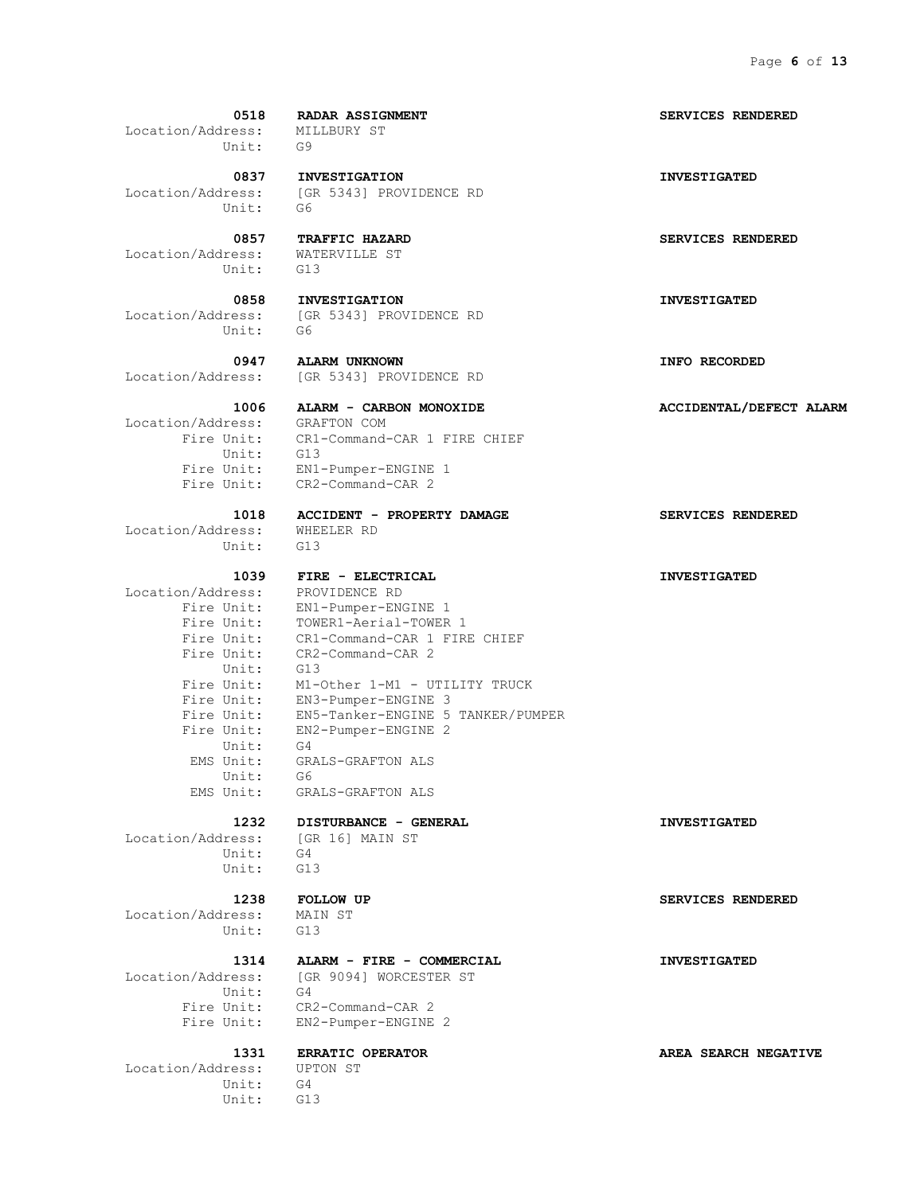**0518 RADAR ASSIGNMENT SERVICES RENDERED**

 Location/Address: MILLBURY ST Unit: G9

 Location/Address: [GR 5343] PROVIDENCE RD Unit: G6

 Location/Address: WATERVILLE ST Unit: G13

Unit: G6

 Location/Address: GRAFTON COM Unit: G13

 Location/Address: WHEELER RD Unit: G13

 Location/Address: PROVIDENCE RD Unit: G13 Unit: G4 Unit: G6 EMS Unit: GRALS-GRAFTON ALS

 Location/Address: [GR 16] MAIN ST Unit: Unit: G13

 Location/Address: MAIN ST Unit: G13

Location/Address: [GR 9094] WORCESTER ST Unit: G4

 **0837 INVESTIGATION INVESTIGATED**

 **0858 INVESTIGATION INVESTIGATED** Location/Address: [GR 5343] PROVIDENCE RD

 **0947 ALARM UNKNOWN INFO RECORDED** Location/Address: [GR 5343] PROVIDENCE RD

 Fire Unit: CR1-Command-CAR 1 FIRE CHIEF Fire Unit: EN1-Pumper-ENGINE 1 Fire Unit: CR2-Command-CAR 2

 **1018 ACCIDENT - PROPERTY DAMAGE SERVICES RENDERED**

### **1039 FIRE - ELECTRICAL INVESTIGATED**

 Fire Unit: EN1-Pumper-ENGINE 1 Fire Unit: TOWER1-Aerial-TOWER 1 Fire Unit: CR1-Command-CAR 1 FIRE CHIEF Fire Unit: CR2-Command-CAR 2<br>Unit: G13 Fire Unit: M1-Other 1-M1 - UTILITY TRUCK Fire Unit: EN3-Pumper-ENGINE 3 Fire Unit: EN5-Tanker-ENGINE 5 TANKER/PUMPER Fire Unit: EN2-Pumper-ENGINE 2 EMS Unit: GRALS-GRAFTON ALS

## **1232 DISTURBANCE - GENERAL INVESTIGATED**

### **1314 ALARM - FIRE - COMMERCIAL INVESTIGATED**

 Fire Unit: CR2-Command-CAR 2 Fire Unit: EN2-Pumper-ENGINE 2

 Location/Address: UPTON ST Unit: G4 Unit: G13

 **0857 TRAFFIC HAZARD SERVICES RENDERED**

#### **1006 ALARM - CARBON MONOXIDE ACCIDENTAL/DEFECT ALARM**

 **1238 FOLLOW UP SERVICES RENDERED**

 **1331 ERRATIC OPERATOR AREA SEARCH NEGATIVE**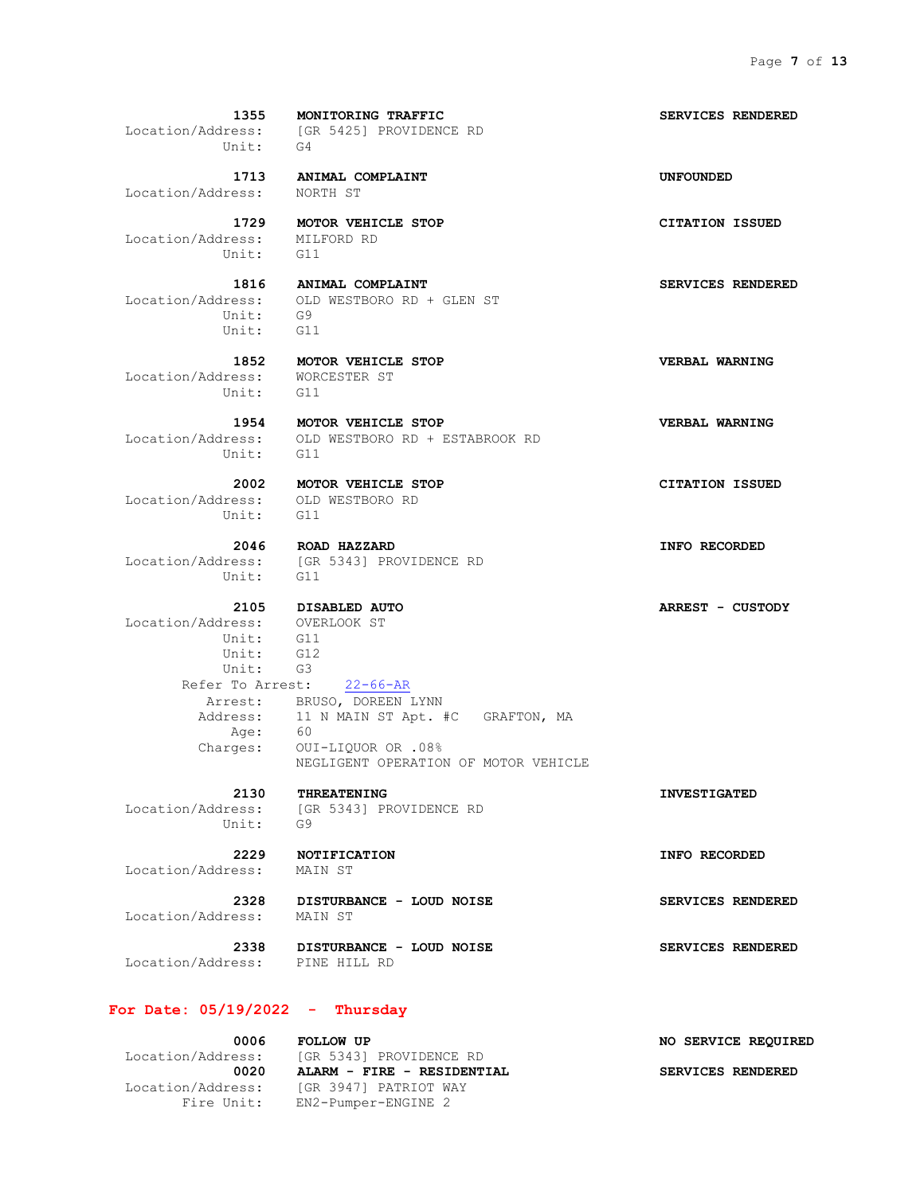Location/Address: NORTH ST

 Location/Address: MILFORD RD Unit: G11

 Unit: G9 Unit: G11

 Location/Address: WORCESTER ST Unit: G11

Unit: G11

 Location/Address: OLD WESTBORO RD Unit: G11

> **2046 ROAD HAZZARD INFO RECORDED** Unit: G11

NEGLIGENT OPERATION OF MOTOR VEHICLE

 Location/Address: OVERLOOK ST Unit: G11 Unit:  $GI2$  Unit: G3 Refer To Arrest: 22-66-AR Arrest: BRUSO, DOREEN LYNN Address: 11 N MAIN ST Apt. #C GRAFTON, MA Age: 60 Age: 60

Charges: OUI-LIQUOR OR .08%

Unit: G9

 **2130 THREATENING INVESTIGATED** Location/Address: [GR 5343] PROVIDENCE RD

Location/Address: MAIN ST

 **2328 DISTURBANCE - LOUD NOISE SERVICES RENDERED** Location/Address: MAIN ST

 **2338 DISTURBANCE - LOUD NOISE SERVICES RENDERED** Location/Address: PINE HILL RD

#### **For Date: 05/19/2022 - Thursday**

Fire Unit: EN2-Pumper-ENGINE 2

 **0006 FOLLOW UP NO SERVICE REQUIRED** Location/Address: [GR 5343] PROVIDENCE RD 0020 **ALARM - FIRE - RESIDENTIAL** SERVICES RENDERED Location/Address: [GR 3947] PATRIOT WAY

 **1355 MONITORING TRAFFIC SERVICES RENDERED** Location/Address: [GR 5425] PROVIDENCE RD

 **1713 ANIMAL COMPLAINT UNFOUNDED**

 **1729 MOTOR VEHICLE STOP CITATION ISSUED**

 **1816 ANIMAL COMPLAINT SERVICES RENDERED** Location/Address: OLD WESTBORO RD + GLEN ST

 **1852 MOTOR VEHICLE STOP VERBAL WARNING**

 **1954 MOTOR VEHICLE STOP VERBAL WARNING** Location/Address: OLD WESTBORO RD + ESTABROOK RD

Location/Address: [GR 5343] PROVIDENCE RD

 **2105 DISABLED AUTO ARREST - CUSTODY**

 **2229 NOTIFICATION INFO RECORDED**

 **2002 MOTOR VEHICLE STOP CITATION ISSUED**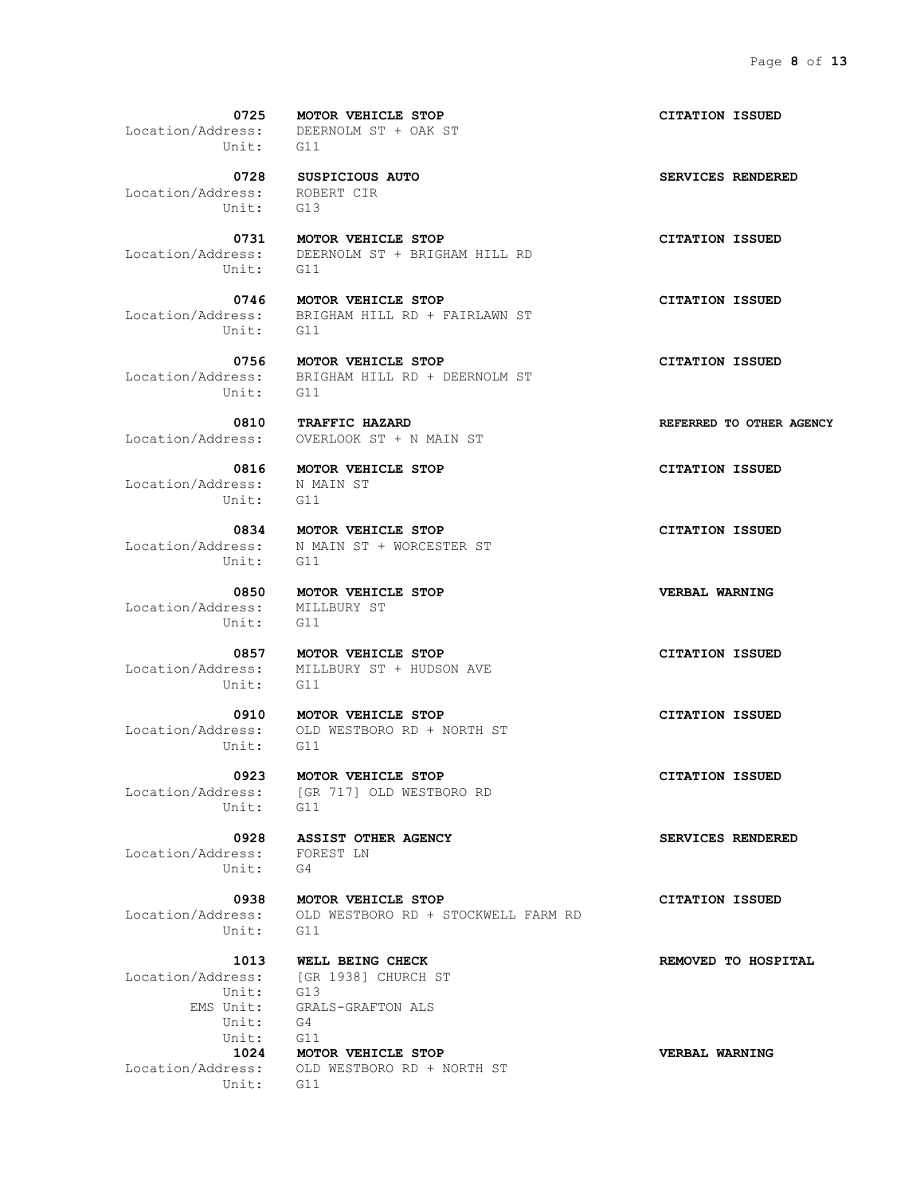Location/Address: ROBERT CIR Unit: G13

Unit: G11

Unit: G11

 **0810 TRAFFIC HAZARD REFERRED TO OTHER AGENCY**

 Location/Address: N MAIN ST Unit: G11

Unit: G11

 Location/Address: MILLBURY ST Unit: G11

Unit: G11

Unit: G11

Unit: G11

 Location/Address: FOREST LN Unit: G4

Unit: G11

Location/Address: [GR 1938] CHURCH ST Unit: G13 Unit: G4 Unit: G11 Unit: G11

 **0725 MOTOR VEHICLE STOP CITATION ISSUED** Location/Address: DEERNOLM ST + OAK ST

0728 SUSPICIOUS AUTO **SERVICES** RENDERED

 **0731 MOTOR VEHICLE STOP CITATION ISSUED** Location/Address: DEERNOLM ST + BRIGHAM HILL RD

 **0746 MOTOR VEHICLE STOP CITATION ISSUED** Location/Address: BRIGHAM HILL RD + FAIRLAWN ST Unit: G11

 **0756 MOTOR VEHICLE STOP CITATION ISSUED** Location/Address: BRIGHAM HILL RD + DEERNOLM ST

OVERLOOK ST + N MAIN ST

 **0834 MOTOR VEHICLE STOP CITATION ISSUED** Location/Address: N MAIN ST + WORCESTER ST

 **0850 MOTOR VEHICLE STOP VERBAL WARNING**

 **0857 MOTOR VEHICLE STOP CITATION ISSUED** Location/Address: MILLBURY ST + HUDSON AVE

 **0910 MOTOR VEHICLE STOP CITATION ISSUED** Location/Address: OLD WESTBORO RD + NORTH ST

 **0923 MOTOR VEHICLE STOP CITATION ISSUED** Location/Address: [GR 717] OLD WESTBORO RD

 **0938 MOTOR VEHICLE STOP CITATION ISSUED** Location/Address: OLD WESTBORO RD + STOCKWELL FARM RD

 EMS Unit: GRALS-GRAFTON ALS  **1024 MOTOR VEHICLE STOP VERBAL WARNING** Location/Address: OLD WESTBORO RD + NORTH ST

 **0816 MOTOR VEHICLE STOP CITATION ISSUED**

0928 **ASSIST OTHER AGENCY SERVICES RENDERED** 

 **1013 WELL BEING CHECK REMOVED TO HOSPITAL**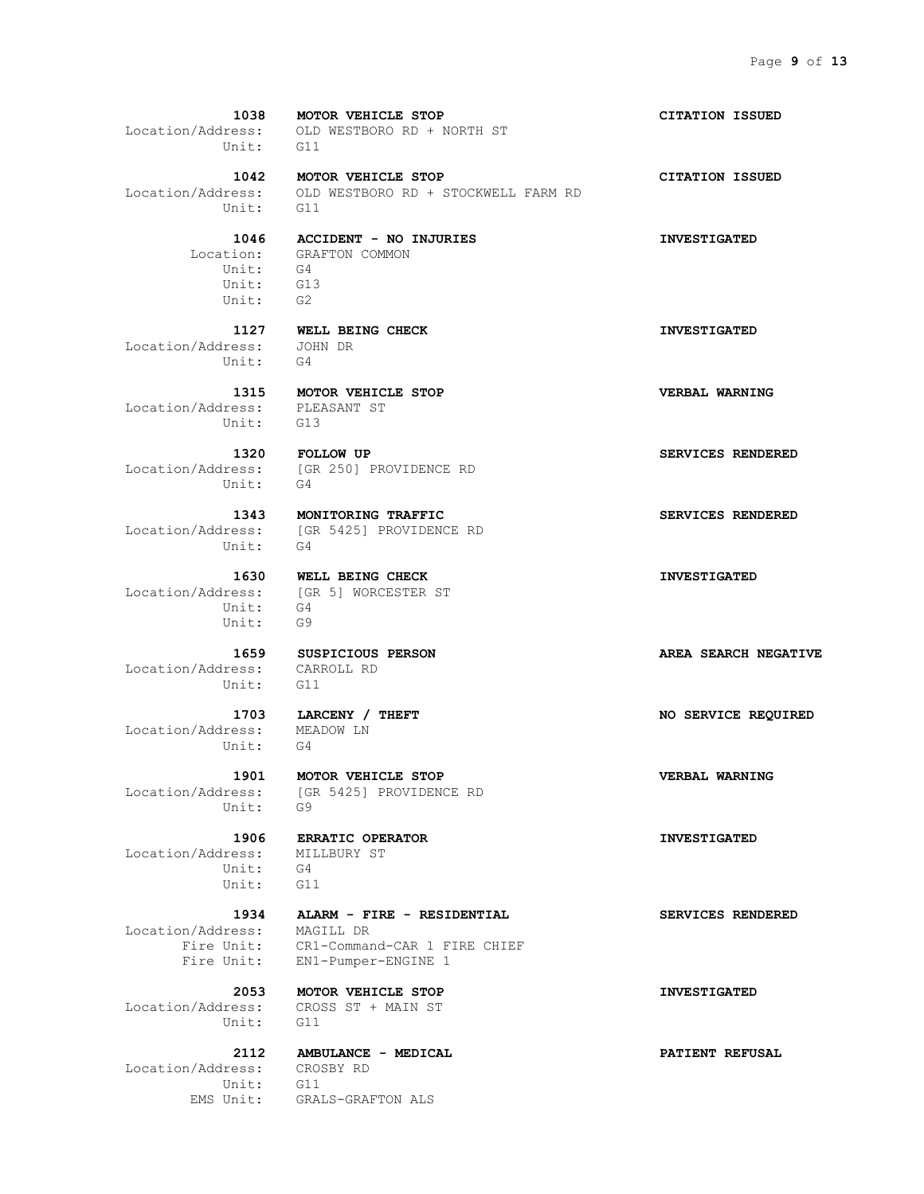**1038 MOTOR VEHICLE STOP CITATION ISSUED** Location/Address: OLD WESTBORO RD + NORTH ST Unit: G11  **1042 MOTOR VEHICLE STOP CITATION ISSUED** Location/Address: OLD WESTBORO RD + STOCKWELL FARM RD Unit: G11  **1046 ACCIDENT - NO INJURIES INVESTIGATED** Location: GRAFTON COMMON Unit: G4 Unit: G13 Unit: G2  **1127 WELL BEING CHECK INVESTIGATED** Location/Address: JOHN DR Unit: G4  **1315 MOTOR VEHICLE STOP VERBAL WARNING** Location/Address: PLEASANT ST Unit: G13  **1320 FOLLOW UP SERVICES RENDERED** Location/Address: [GR 250] PROVIDENCE RD Unit: G4  **1343 MONITORING TRAFFIC SERVICES RENDERED** Location/Address: [GR 5425] PROVIDENCE RD  **1630 WELL BEING CHECK INVESTIGATED** Location/Address: [GR 5] WORCESTER ST Unit: G4 Unit: G9  **1659 SUSPICIOUS PERSON AREA SEARCH NEGATIVE** Location/Address: CARROLL RD Unit: G11  **1703 LARCENY / THEFT NO SERVICE REQUIRED** Location/Address: MEADOW LN Unit: G4  **1901 MOTOR VEHICLE STOP VERBAL WARNING** Location/Address: [GR 5425] PROVIDENCE RD Unit: G9  **1906 ERRATIC OPERATOR INVESTIGATED**

 **1934 ALARM - FIRE - RESIDENTIAL SERVICES RENDERED**

 **2053 MOTOR VEHICLE STOP INVESTIGATED**

Unit: G4

 Location/Address: MILLBURY ST Unit: G4 Unit: G11

 Location/Address: MAGILL DR Fire Unit: CR1-Command-CAR 1 FIRE CHIEF Fire Unit: EN1-Pumper-ENGINE 1

 Location/Address: CROSS ST + MAIN ST Unit: G11

 Location/Address: CROSBY RD Unit: G11

 **2112 AMBULANCE - MEDICAL PATIENT REFUSAL**

EMS Unit: GRALS-GRAFTON ALS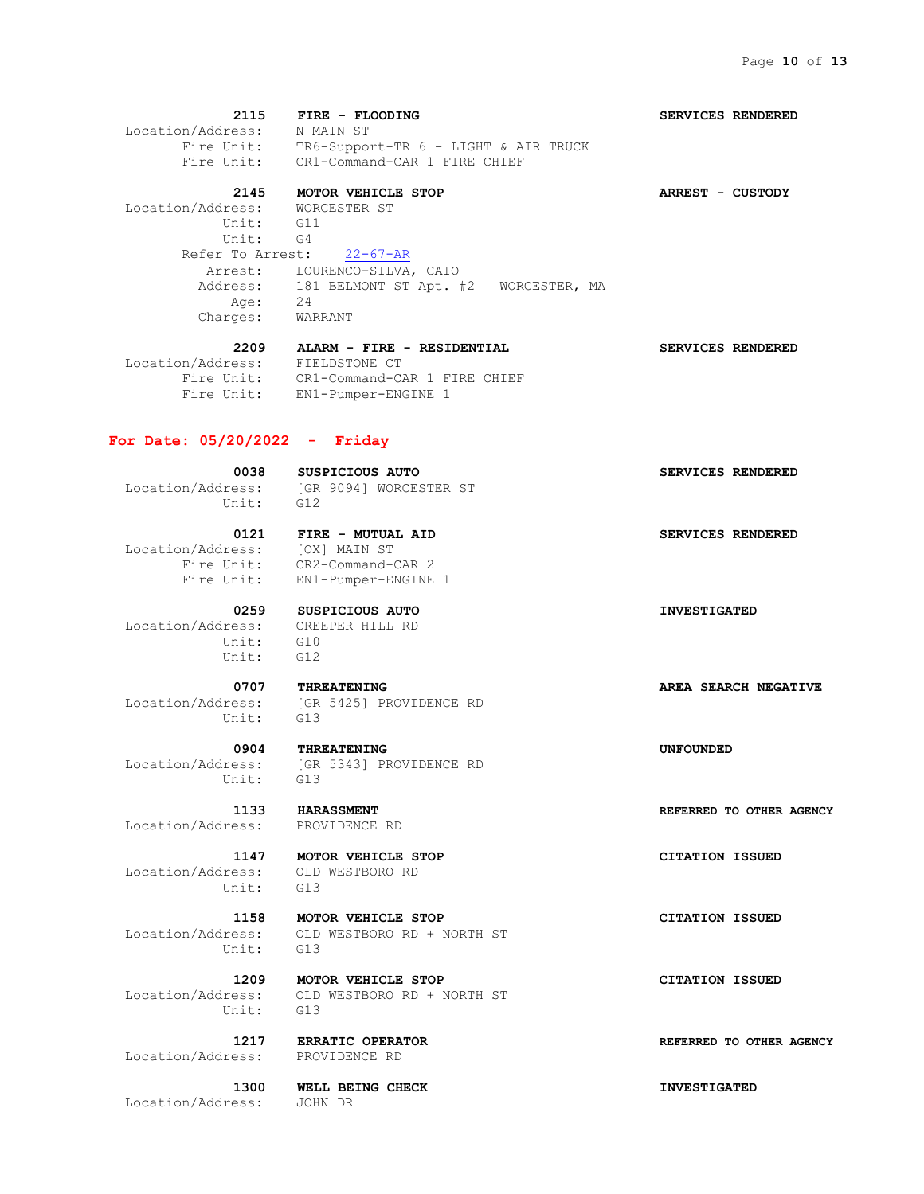**2115 FIRE - FLOODING SERVICES RENDERED** Location/Address: N MAIN ST Fire Unit: TR6-Support-TR 6 - LIGHT & AIR TRUCK Fire Unit: CR1-Command-CAR 1 FIRE CHIEF  **2145 MOTOR VEHICLE STOP ARREST - CUSTODY** Location/Address: WORCESTER ST Unit: G11 Unit: G4 Refer To Arrest: 22-67-AR Arrest: LOURENCO-SILVA, CAIO Address: 181 BELMONT ST Apt. #2 WORCESTER, MA Age: 24 Charges: WARRANT  **2209 ALARM - FIRE - RESIDENTIAL SERVICES RENDERED**

#### Location/Address: FIELDSTONE CT Fire Unit: CR1-Command-CAR 1 FIRE CHIEF Fire Unit: EN1-Pumper-ENGINE 1

#### **For Date: 05/20/2022 - Friday**

 **0038 SUSPICIOUS AUTO SERVICES RENDERED** Location/Address: [GR 9094] WORCESTER ST Unit: G12

0121 **FIRE - MUTUAL AID SERVICES RENDERED**  Location/Address: [OX] MAIN ST Fire Unit: CR2-Command-CAR 2 Fire Unit: EN1-Pumper-ENGINE 1

 **0259 SUSPICIOUS AUTO INVESTIGATED** Location/Address: CREEPER HILL RD Unit: G10 Unit: G12

 Location/Address: [GR 5425] PROVIDENCE RD Unit:

 Location/Address: [GR 5343] PROVIDENCE RD Unit: G13

Location/Address: PROVIDENCE RD

 Location/Address: OLD WESTBORO RD Unit: G13

 **1158 MOTOR VEHICLE STOP CITATION ISSUED** Location/Address: OLD WESTBORO RD + NORTH ST Unit: G13

 **1209 MOTOR VEHICLE STOP CITATION ISSUED** Location/Address: OLD WESTBORO RD + NORTH ST  $\text{Unit} \cdot \quad \text{G13}$ 

Location/Address: PROVIDENCE RD

 **1300 WELL BEING CHECK INVESTIGATED** Location/Address: JOHN DR

 **0707 THREATENING AREA SEARCH NEGATIVE** 

 **0904 THREATENING UNFOUNDED**

 **1133 HARASSMENT REFERRED TO OTHER AGENCY**

 **1147 MOTOR VEHICLE STOP CITATION ISSUED**

 **1217 ERRATIC OPERATOR REFERRED TO OTHER AGENCY**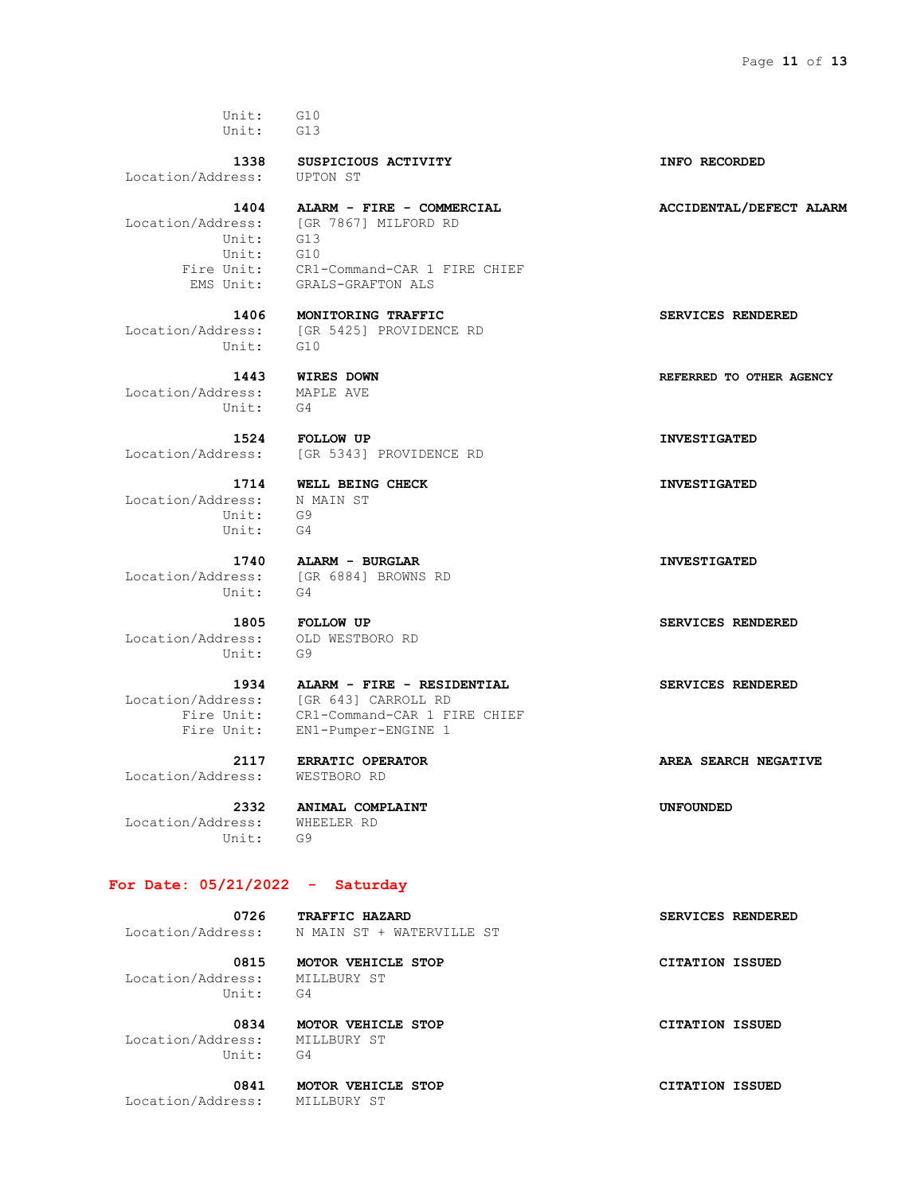Unit: G10 Unit: G13

Location/Address: UPTON ST

 **1404 ALARM - FIRE - COMMERCIAL ACCIDENTAL/DEFECT ALARM** Location/Address: [GR 7867] MILFORD RD Unit: G13 Unit: G10 Fire Unit: CR1-Command-CAR 1 FIRE CHIEF EMS Unit: GRALS-GRAFTON ALS

 Location/Address: [GR 5425] PROVIDENCE RD Unit: G10

 Location/Address: MAPLE AVE Unit: G4

Location/Address: [GR 5343] PROVIDENCE RD

 Location/Address: N MAIN ST Unit: G9 Unit: G4

 Location/Address: [GR 6884] BROWNS RD Unit: G4

 Location/Address: OLD WESTBORO RD Unit: G9

Location/Address: WESTBORO RD

 Location/Address: WHEELER RD Unit: G9

### **For Date: 05/21/2022 - Saturday**

Location/Address: N MAIN ST + WATERVILLE ST

 Location/Address: MILLBURY ST Unit: G4

 Location/Address: MILLBURY ST Unit: G4

Location/Address: MILLBURY ST

 **1805 FOLLOW UP SERVICES RENDERED**

## **1934 ALARM - FIRE - RESIDENTIAL SERVICES RENDERED** Location/Address: [GR 643] CARROLL RD Fire Unit: CR1-Command-CAR 1 FIRE CHIEF

Fire Unit: EN1-Pumper-ENGINE 1

 **2332 ANIMAL COMPLAINT UNFOUNDED**

 **0726 TRAFFIC HAZARD SERVICES RENDERED**

 **0815 MOTOR VEHICLE STOP CITATION ISSUED**

 **0834 MOTOR VEHICLE STOP CITATION ISSUED**

0841 **MOTOR VEHICLE STOP CITATION ISSUED** 

 **1338 SUSPICIOUS ACTIVITY INFO RECORDED**

 **1406 MONITORING TRAFFIC SERVICES RENDERED**

 **1443 WIRES DOWN REFERRED TO OTHER AGENCY**

 **1524 FOLLOW UP INVESTIGATED**

 **1714 WELL BEING CHECK INVESTIGATED**

 **1740 ALARM - BURGLAR INVESTIGATED**

 **2117 ERRATIC OPERATOR AREA SEARCH NEGATIVE**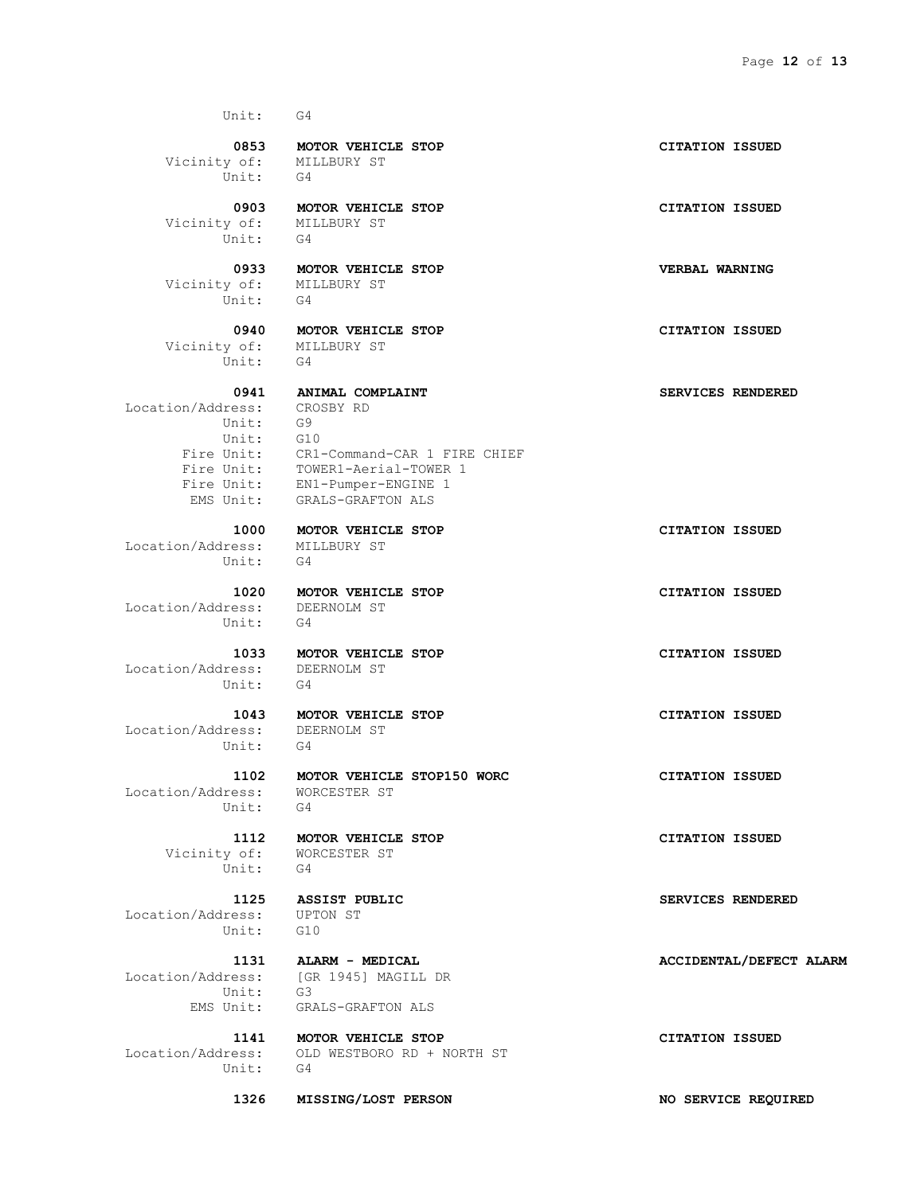Unit: G4  **0853 MOTOR VEHICLE STOP CITATION ISSUED** Vicinity of: MILLBURY ST Unit: G4  **0903 MOTOR VEHICLE STOP CITATION ISSUED** Vicinity of: MILLBURY ST Unit: G4  **0933 MOTOR VEHICLE STOP VERBAL WARNING** Vicinity of: MILLBURY ST Unit: G4  **0940 MOTOR VEHICLE STOP CITATION ISSUED** Vicinity of: MILLBURY ST Unit: G4 0941 **ANIMAL COMPLAINT SERVICES RENDERED** Location/Address: CROSBY RD<br>Unit: G9 Unit: Unit: G10 Fire Unit: CR1-Command-CAR 1 FIRE CHIEF Fire Unit: TOWER1-Aerial-TOWER 1 Fire Unit: EN1-Pumper-ENGINE 1 EMS Unit: GRALS-GRAFTON ALS  **1000 MOTOR VEHICLE STOP CITATION ISSUED** Location/Address: MILLBURY ST Unit: G4  **1020 MOTOR VEHICLE STOP CITATION ISSUED** Location/Address: DEERNOLM ST Unit: G4  **1033 MOTOR VEHICLE STOP CITATION ISSUED** Location/Address: DEERNOLM ST Unit: G4  **1043 MOTOR VEHICLE STOP CITATION ISSUED** Location/Address: DEERNOLM ST Unit: G4  **1102 MOTOR VEHICLE STOP150 WORC CITATION ISSUED** Location/Address: WORCESTER ST Unit: G4  **1112 MOTOR VEHICLE STOP CITATION ISSUED** Vicinity of: WORCESTER ST Unit: G4  **1125 ASSIST PUBLIC SERVICES RENDERED** Location/Address: UPTON ST Unit: G10 1131 **ALARM - MEDICAL ALARM** - **MEDICAL ACCIDENTAL**/DEFECT ALARM Location/Address: [GR 1945] MAGILL DR Unit: G3 EMS Unit: GRALS-GRAFTON ALS  **1141 MOTOR VEHICLE STOP CITATION ISSUED** Location/Address: OLD WESTBORO RD + NORTH ST Unit: G4

 **1326 MISSING/LOST PERSON NO SERVICE REQUIRED**